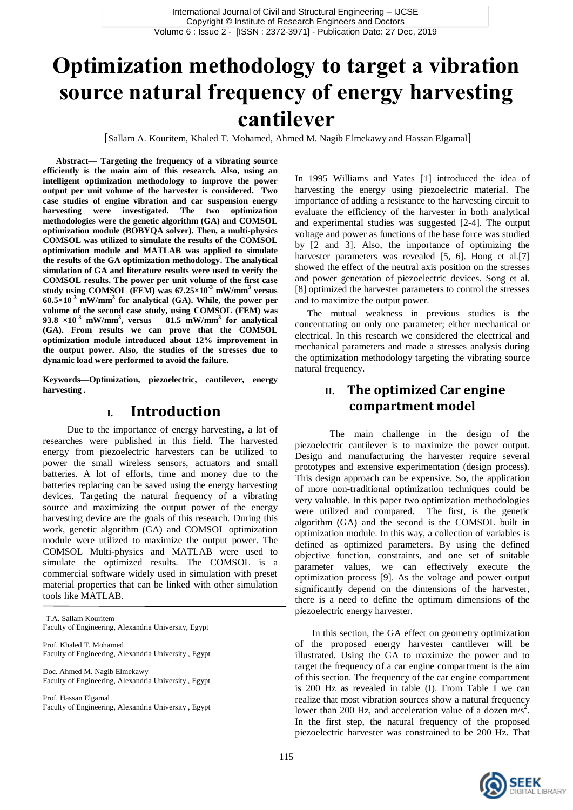# **Optimization methodology to target a vibration source natural frequency of energy harvesting cantilever**

[Sallam A. Kouritem, Khaled T. Mohamed, Ahmed M. Nagib Elmekawy and Hassan Elgamal]

**Abstract— Targeting the frequency of a vibrating source efficiently is the main aim of this research. Also, using an intelligent optimization methodology to improve the power output per unit volume of the harvester is considered. Two case studies of engine vibration and car suspension energy harvesting were investigated. The two optimization methodologies were the genetic algorithm (GA) and COMSOL optimization module (BOBYQA solver). Then, a multi-physics COMSOL was utilized to simulate the results of the COMSOL optimization module and MATLAB was applied to simulate the results of the GA optimization methodology. The analytical simulation of GA and literature results were used to verify the COMSOL results. The power per unit volume of the first case study using COMSOL (FEM) was 67.25×10-3 mW/mm<sup>3</sup> versus 60.5×10-3 mW/mm<sup>3</sup> for analytical (GA). While, the power per volume of the second case study, using COMSOL (FEM) was**  93.8  $\times 10^{-3}$  mW/mm<sup>3</sup>, versus **, versus 81.5 mW/mm<sup>3</sup> for analytical (GA). From results we can prove that the COMSOL optimization module introduced about 12% improvement in the output power. Also, the studies of the stresses due to dynamic load were performed to avoid the failure.**

**Keywords***—***Optimization, piezoelectric, cantilever, energy harvesting** *.*

### **I. Introduction**

 Due to the importance of energy harvesting, a lot of researches were published in this field. The harvested energy from piezoelectric harvesters can be utilized to power the small wireless sensors, actuators and small batteries. A lot of efforts, time and money due to the batteries replacing can be saved using the energy harvesting devices. Targeting the natural frequency of a vibrating source and maximizing the output power of the energy harvesting device are the goals of this research. During this work, genetic algorithm (GA) and COMSOL optimization module were utilized to maximize the output power. The COMSOL Multi-physics and MATLAB were used to simulate the optimized results. The COMSOL is a commercial software widely used in simulation with preset material properties that can be linked with other simulation tools like MATLAB.

T.A. Sallam Kouritem Faculty of Engineering, Alexandria University, Egypt

Prof. Khaled T. Mohamed Faculty of Engineering, Alexandria University , Egypt

Doc. Ahmed M. Nagib Elmekawy Faculty of Engineering, Alexandria University , Egypt

Prof. Hassan Elgamal Faculty of Engineering, Alexandria University , Egypt In 1995 Williams and Yates [1] introduced the idea of harvesting the energy using piezoelectric material. The importance of adding a resistance to the harvesting circuit to evaluate the efficiency of the harvester in both analytical and experimental studies was suggested [2-4]. The output voltage and power as functions of the base force was studied by [2 and 3]. Also, the importance of optimizing the harvester parameters was revealed [5, 6]. Hong et al.[7] showed the effect of the neutral axis position on the stresses and power generation of piezoelectric devices. Song et al. [8] optimized the harvester parameters to control the stresses and to maximize the output power.

 The mutual weakness in previous studies is the concentrating on only one parameter; either mechanical or electrical. In this research we considered the electrical and mechanical parameters and made a stresses analysis during the optimization methodology targeting the vibrating source natural frequency.

### **II. The optimized Car engine compartment model**

The main challenge in the design of the piezoelectric cantilever is to maximize the power output. Design and manufacturing the harvester require several prototypes and extensive experimentation (design process). This design approach can be expensive. So, the application of more non-traditional optimization techniques could be very valuable. In this paper two optimization methodologies were utilized and compared. The first, is the genetic algorithm (GA) and the second is the COMSOL built in optimization module. In this way, a collection of variables is defined as optimized parameters. By using the defined objective function, constraints, and one set of suitable parameter values, we can effectively execute the optimization process [9]. As the voltage and power output significantly depend on the dimensions of the harvester, there is a need to define the optimum dimensions of the piezoelectric energy harvester.

 In this section, the GA effect on geometry optimization of the proposed energy harvester cantilever will be illustrated. Using the GA to maximize the power and to target the frequency of a car engine compartment is the aim of this section. The frequency of the car engine compartment is 200 Hz as revealed in table (I). From Table I we can realize that most vibration sources show a natural frequency lower than 200 Hz, and acceleration value of a dozen  $m/s<sup>2</sup>$ . In the first step, the natural frequency of the proposed piezoelectric harvester was constrained to be 200 Hz. That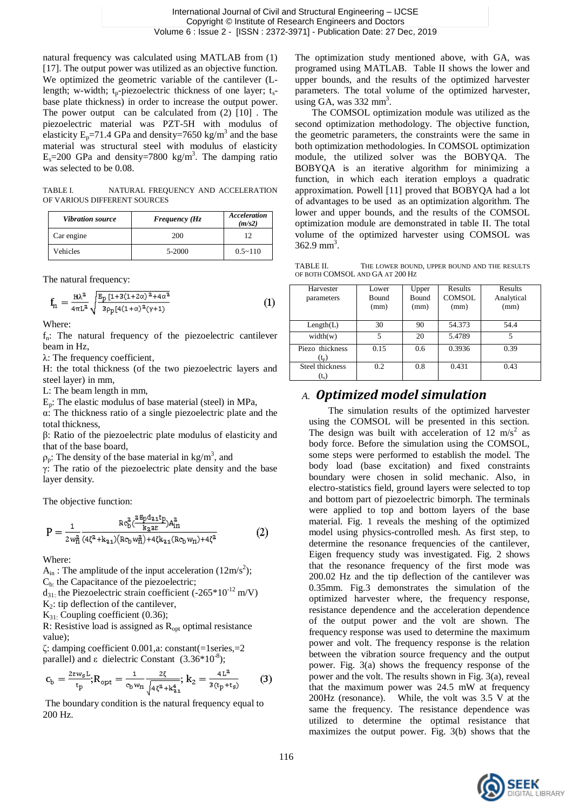natural frequency was calculated using MATLAB from (1) [17]. The output power was utilized as an objective function. We optimized the geometric variable of the cantilever (Llength; w-width;  $t_p$ -piezoelectric thickness of one layer;  $t_s$ base plate thickness) in order to increase the output power. The power output can be calculated from (2) [10] . The piezoelectric material was PZT-5H with modulus of elasticity  $E_p = 71.4$  GPa and density = 7650 kg/m<sup>3</sup> and the base material was structural steel with modulus of elasticity  $E_s = 200$  GPa and density=7800 kg/m<sup>3</sup>. The damping ratio was selected to be 0.08.

TABLE I. NATURAL FREQUENCY AND ACCELERATION OF VARIOUS DIFFERENT SOURCES

| <b>Vibration source</b> | <b>Frequency (Hz</b> | Acceleration<br>(m/s2) |
|-------------------------|----------------------|------------------------|
| Car engine              | 200                  | 12                     |
| <b>Vehicles</b>         | 5-2000               | $0.5 \sim 110$         |

The natural frequency:

$$
f_n = \frac{H\lambda^2}{4\pi L^2} \sqrt{\frac{B_p [1 + 3(1 + 2\alpha)^2 + 4\alpha^2]}{3\rho_p [4(1 + \alpha)^2(\gamma + 1)}}\tag{1}
$$

Where:

 $f_n$ : The natural frequency of the piezoelectric cantilever beam in Hz,

λ: The frequency coefficient,

H: the total thickness (of the two piezoelectric layers and steel layer) in mm,

L: The beam length in mm,

 $E_n$ : The elastic modulus of base material (steel) in MPa,

α: The thickness ratio of a single piezoelectric plate and the total thickness,

β: Ratio of the piezoelectric plate modulus of elasticity and that of the base board,

 $\rho_p$ : The density of the base material in kg/m<sup>3</sup>, and

γ: The ratio of the piezoelectric plate density and the base layer density.

The objective function:

$$
P = \frac{1}{2w_{\rm H}^2} \frac{Rc_{\rm b}^2(\frac{2B_{\rm p}d_{\rm 21}t_{\rm p}}{k_{\rm 2}a_{\rm E}})A_{\rm in}^2}{(4\zeta^2 + k_{\rm 21})(Rc_{\rm b}w_{\rm H}^2) + 4\zeta k_{\rm 21}(Rc_{\rm b}w_{\rm H}) + 4\zeta^2}
$$
(2)

Where:

 $A_{in}$ : The amplitude of the input acceleration (12m/s<sup>2</sup>);

Cb: the Capacitance of the piezoelectric;

 $d_{31}$ : the Piezoelectric strain coefficient (-265\*10<sup>-12</sup> m/V)

 $K_2$ : tip deflection of the cantilever,

 $K_{31}$ : Coupling coefficient (0.36);

R: Resistive load is assigned as  $R_{\text{opt}}$  optimal resistance value);

 $\zeta$ : damping coefficient 0.001,a: constant(=1series,=2) parallel) and  $\varepsilon$  dielectric Constant (3.36\*10<sup>-8</sup>);

$$
c_{b} = \frac{2\epsilon w_{s} L}{t_{p}}; R_{opt} = \frac{1}{c_{b} w_{n}} \frac{2\zeta}{\sqrt{4\zeta^{2} + k_{a1}^{4}}}; k_{2} = \frac{4L^{2}}{3(t_{p} + t_{s})}
$$
(3)

The boundary condition is the natural frequency equal to 200 Hz.

The optimization study mentioned above, with GA, was programed using MATLAB. Table II shows the lower and upper bounds, and the results of the optimized harvester parameters. The total volume of the optimized harvester,  $\frac{1}{2}$  using GA, was 332 mm<sup>3</sup>.

 The COMSOL optimization module was utilized as the second optimization methodology. The objective function, the geometric parameters, the constraints were the same in both optimization methodologies. In COMSOL optimization module, the utilized solver was the BOBYQA. The BOBYQA is an iterative algorithm for minimizing a function, in which each iteration employs a quadratic approximation. Powell [11] proved that BOBYQA had a lot of advantages to be used as an optimization algorithm. The lower and upper bounds, and the results of the COMSOL optimization module are demonstrated in table II. The total volume of the optimized harvester using COMSOL was  $362.9$  mm<sup>3</sup>.

TABLE II. THE LOWER BOUND, UPPER BOUND AND THE RESULTS OF BOTH COMSOL AND GA AT 200 HZ

| Harvester<br>parameters    | Lower<br><b>Bound</b><br>(mm) | Upper<br><b>Bound</b><br>(mm) | <b>Results</b><br><b>COMSOL</b><br>(mm) | Results<br>Analytical<br>(mm) |
|----------------------------|-------------------------------|-------------------------------|-----------------------------------------|-------------------------------|
| Length(L)                  | 30                            | 90                            | 54.373                                  | 54.4                          |
| width(w)                   | 5                             | 20                            | 5.4789                                  | 5                             |
| Piezo thickness<br>$(t_n)$ | 0.15                          | 0.6                           | 0.3936                                  | 0.39                          |
| Steel thickness<br>$(t_s)$ | 0.2                           | 0.8                           | 0.431                                   | 0.43                          |

# *A. Optimized model simulation*

 The simulation results of the optimized harvester using the COMSOL will be presented in this section. The design was built with acceleration of 12 m/s<sup>2</sup> as body force. Before the simulation using the COMSOL, some steps were performed to establish the model. The body load (base excitation) and fixed constraints boundary were chosen in solid mechanic. Also, in electro-statistics field, ground layers were selected to top and bottom part of piezoelectric bimorph. The terminals were applied to top and bottom layers of the base material. Fig. 1 reveals the meshing of the optimized model using physics-controlled mesh. As first step, to determine the resonance frequencies of the cantilever, Eigen frequency study was investigated. Fig. 2 shows that the resonance frequency of the first mode was 200.02 Hz and the tip deflection of the cantilever was 0.35mm. Fig.3 demonstrates the simulation of the optimized harvester where, the frequency response, resistance dependence and the acceleration dependence of the output power and the volt are shown. The frequency response was used to determine the maximum power and volt. The frequency response is the relation between the vibration source frequency and the output power. Fig. 3(a) shows the frequency response of the power and the volt. The results shown in Fig. 3(a), reveal that the maximum power was 24.5 mW at frequency 200Hz (resonance). While, the volt was 3.5 V at the same the frequency. The resistance dependence was utilized to determine the optimal resistance that maximizes the output power. Fig. 3(b) shows that the

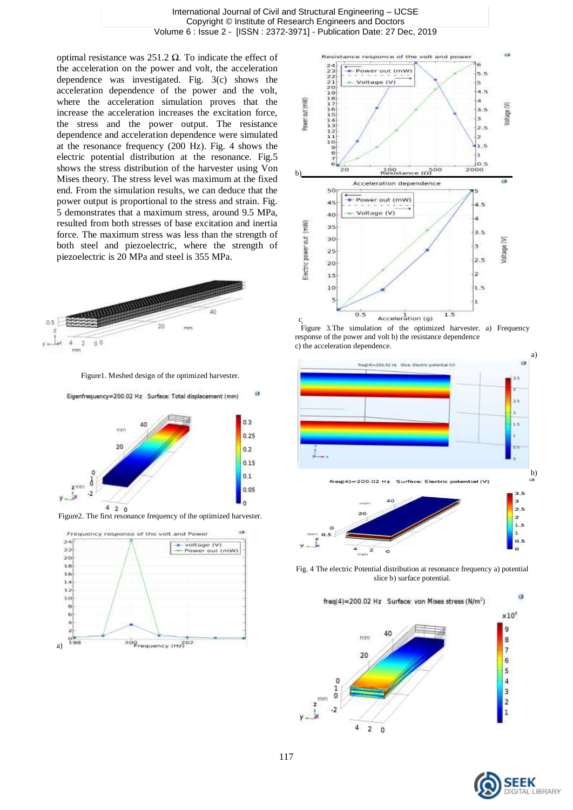International Journal of Civil and Structural Engineering – IJCSE Copyright © Institute of Research Engineers and Doctors Volume 6 : Issue 2 - [ISSN : 2372-3971] - Publication Date: 27 Dec, 2019

optimal resistance was 251.2 Ω. To indicate the effect of the acceleration on the power and volt, the acceleration dependence was investigated. Fig. 3(c) shows the acceleration dependence of the power and the volt, where the acceleration simulation proves that the increase the acceleration increases the excitation force, the stress and the power output. The resistance dependence and acceleration dependence were simulated at the resonance frequency (200 Hz). Fig. 4 shows the electric potential distribution at the resonance. Fig.5 shows the stress distribution of the harvester using Von Mises theory. The stress level was maximum at the fixed end. From the simulation results, we can deduce that the power output is proportional to the stress and strain. Fig. 5 demonstrates that a maximum stress, around 9.5 MPa, resulted from both stresses of base excitation and inertia force. The maximum stress was less than the strength of both steel and piezoelectric, where the strength of piezoelectric is 20 MPa and steel is 355 MPa.



Figure1. Meshed design of the optimized harvester.

Eigenfrequency=200.02 Hz Surface: Total displacement (mm)

ø



Figure2. The first resonance frequency of the optimized harvester.





**c b 1.5**<br>*Figure* 3.The simulation of the optimized harvester. a) Frequency response of the power and volt b) the resistance dependence c) the acceleration dependence.



Fig. 4 The electric Potential distribution at resonance frequency a) potential slice b) surface potential.



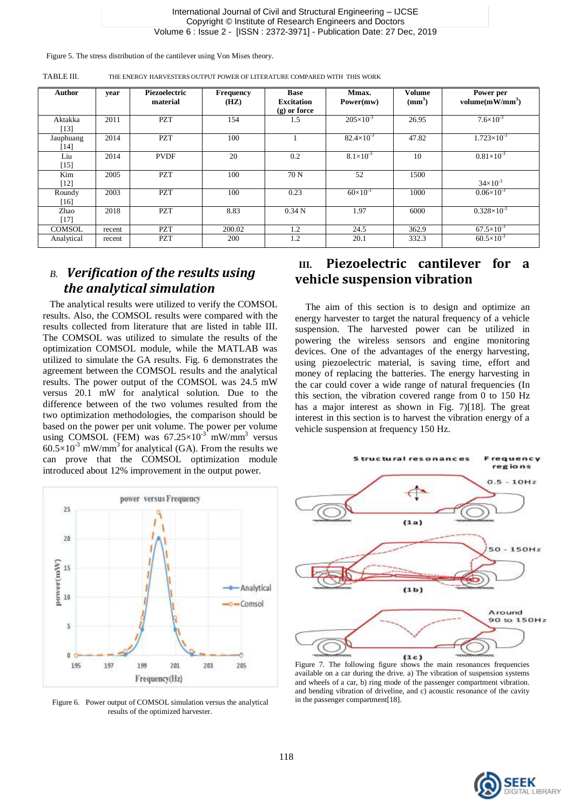#### International Journal of Civil and Structural Engineering – IJCSE Copyright © Institute of Research Engineers and Doctors Volume 6 : Issue 2 - [ISSN : 2372-3971] - Publication Date: 27 Dec, 2019

Figure 5. The stress distribution of the cantilever using Von Mises theory.

| <b>Author</b>       | year   | Piezoelectric<br>material | <b>Frequency</b><br>(HZ) | Base<br><b>Excitation</b><br>$(g)$ or force | Mmax.<br>Power(mw)  | <b>Volume</b><br>(mm <sup>3</sup> ) | Power per<br>volume $(mW/mm^3)$ |
|---------------------|--------|---------------------------|--------------------------|---------------------------------------------|---------------------|-------------------------------------|---------------------------------|
| Aktakka<br>$[13]$   | 2011   | <b>PZT</b>                | 154                      | 1.5                                         | $205\times10^{-3}$  | 26.95                               | $7.6 \times 10^{-3}$            |
| Jauphuang<br>$[14]$ | 2014   | <b>PZT</b>                | 100                      |                                             | $82.4\times10^{-3}$ | 47.82                               | $1.723\times10^{-3}$            |
| Liu<br>$[15]$       | 2014   | <b>PVDF</b>               | 20                       | 0.2                                         | $8.1\times10^{-3}$  | 10                                  | $0.81\times10^{-3}$             |
| Kim<br>$[12]$       | 2005   | <b>PZT</b>                | 100                      | 70 N                                        | 52                  | 1500                                | $34\times10^{-3}$               |
| Roundy<br>[16]      | 2003   | <b>PZT</b>                | 100                      | 0.23                                        | $60\times10^{-3}$   | 1000                                | $0.06\times10^{-3}$             |
| Zhao<br>[17]        | 2018   | <b>PZT</b>                | 8.83                     | 0.34 <sub>N</sub>                           | 1.97                | 6000                                | $0.328\times10^{-3}$            |
| <b>COMSOL</b>       | recent | <b>PZT</b>                | 200.02                   | 1.2                                         | 24.5                | 362.9                               | $67.5 \times 10^{-3}$           |
| Analytical          | recent | <b>PZT</b>                | 200                      | 1.2                                         | 20.1                | 332.3                               | $60.5 \times 10^{-3}$           |

TABLE III. THE ENERGY HARVESTERS OUTPUT POWER OF LITERATURE COMPARED WITH THIS WORK

# *B. Verification of the results using the analytical simulation*

The analytical results were utilized to verify the COMSOL results. Also, the COMSOL results were compared with the results collected from literature that are listed in table III. The COMSOL was utilized to simulate the results of the optimization COMSOL module, while the MATLAB was utilized to simulate the GA results. Fig. 6 demonstrates the agreement between the COMSOL results and the analytical results. The power output of the COMSOL was 24.5 mW versus 20.1 mW for analytical solution. Due to the difference between of the two volumes resulted from the two optimization methodologies, the comparison should be based on the power per unit volume. The power per volume using COMSOL (FEM) was  $67.25 \times 10^{-3}$  mW/mm<sup>3</sup> versus  $60.5 \times 10^{-3}$  mW/mm<sup>3</sup> for analytical (GA). From the results we can prove that the COMSOL optimization module introduced about 12% improvement in the output power.



Figure 6. Power output of COMSOL simulation versus the analytical results of the optimized harvester.

# **III. Piezoelectric cantilever for a vehicle suspension vibration**

The aim of this section is to design and optimize an energy harvester to target the natural frequency of a vehicle suspension. The harvested power can be utilized in powering the wireless sensors and engine monitoring devices. One of the advantages of the energy harvesting, using piezoelectric material, is saving time, effort and money of replacing the batteries. The energy harvesting in the car could cover a wide range of natural frequencies (In this section, the vibration covered range from  $\overline{0}$  to 150 Hz has a major interest as shown in Fig. 7)[18]. The great interest in this section is to harvest the vibration energy of a vehicle suspension at frequency 150 Hz.



available on a car during the drive. a) The vibration of suspension systems and wheels of a car, b) ring mode of the passenger compartment vibration. and bending vibration of driveline, and c) acoustic resonance of the cavity in the passenger compartment[18].

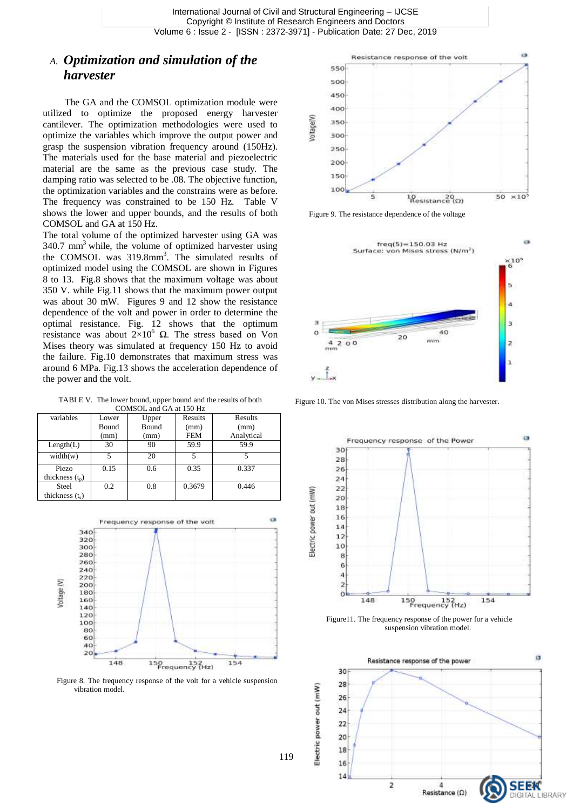### *A. Optimization and simulation of the harvester*

 The GA and the COMSOL optimization module were utilized to optimize the proposed energy harvester cantilever. The optimization methodologies were used to optimize the variables which improve the output power and grasp the suspension vibration frequency around (150Hz). The materials used for the base material and piezoelectric material are the same as the previous case study. The damping ratio was selected to be .08. The objective function, the optimization variables and the constrains were as before. The frequency was constrained to be 150 Hz. Table V shows the lower and upper bounds, and the results of both COMSOL and GA at 150 Hz.

The total volume of the optimized harvester using GA was  $340.7$  mm<sup>3</sup> while, the volume of optimized harvester using the COMSOL was 319.8mm<sup>3</sup>. The simulated results of optimized model using the COMSOL are shown in Figures 8 to 13. Fig.8 shows that the maximum voltage was about 350 V. while Fig.11 shows that the maximum power output was about 30 mW. Figures 9 and 12 show the resistance dependence of the volt and power in order to determine the optimal resistance. Fig. 12 shows that the optimum resistance was about  $2\times10^6$  Ω. The stress based on Von Mises theory was simulated at frequency 150 Hz to avoid the failure. Fig.10 demonstrates that maximum stress was around 6 MPa. Fig.13 shows the acceleration dependence of the power and the volt.

TABLE V. The lower bound, upper bound and the results of both COMSOL and GA at 150 Hz

| variables         | Lower | Upper | Results    | Results    |
|-------------------|-------|-------|------------|------------|
|                   | Bound | Bound | (mm)       | (mm)       |
|                   | (mm)  | (mm)  | <b>FEM</b> | Analytical |
| Length(L)         | 30    | 90    | 59.9       | 59.9       |
| width(w)          | 5     | 20    | 5          | 5          |
| Piezo             | 0.15  | 0.6   | 0.35       | 0.337      |
| thickness $(t_n)$ |       |       |            |            |
| Steel             | 0.2   | 0.8   | 0.3679     | 0.446      |
| thickness $(t_s)$ |       |       |            |            |
|                   |       |       |            |            |



Figure 8. The frequency response of the volt for a vehicle suspension vibration model.



Figure 9. The resistance dependence of the voltage



Figure 10. The von Mises stresses distribution along the harvester.



Figure11. The frequency response of the power for a vehicle suspension vibration model.

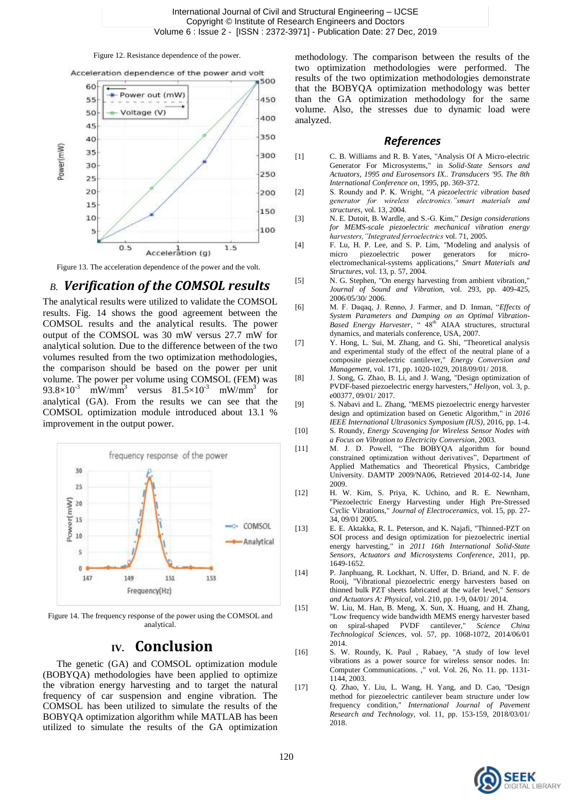#### Figure 12. Resistance dependence of the power.



Figure 13. The acceleration dependence of the power and the volt.

#### *B. Verification of the COMSOL results*

The analytical results were utilized to validate the COMSOL results. Fig. 14 shows the good agreement between the COMSOL results and the analytical results. The power output of the COMSOL was 30 mW versus 27.7 mW for analytical solution. Due to the difference between of the two volumes resulted from the two optimization methodologies, the comparison should be based on the power per unit volume. The power per volume using COMSOL (FEM) was 93.8×10<sup>-3</sup> mW/mm<sup>3</sup> versus 81.5×10<sup>-3</sup> mW/mm<sup>3</sup> for analytical (GA). From the results we can see that the COMSOL optimization module introduced about 13.1 % improvement in the output power.



Figure 14. The frequency response of the power using the COMSOL and analytical.

# **IV. Conclusion**

The genetic (GA) and COMSOL optimization module (BOBYQA) methodologies have been applied to optimize the vibration energy harvesting and to target the natural frequency of car suspension and engine vibration. The COMSOL has been utilized to simulate the results of the BOBYQA optimization algorithm while MATLAB has been utilized to simulate the results of the GA optimization

methodology. The comparison between the results of the two optimization methodologies were performed. The results of the two optimization methodologies demonstrate that the BOBYQA optimization methodology was better than the GA optimization methodology for the same volume. Also, the stresses due to dynamic load were analyzed.

#### *References*

- [1] C. B. Williams and R. B. Yates, "Analysis Of A Micro-electric Generator For Microsystems," in *Solid-State Sensors and Actuators, 1995 and Eurosensors IX.. Transducers '95. The 8th International Conference on*, 1995, pp. 369-372.
- [2] S. Roundy and P. K. Wright, "*A piezoelectric vibration based generator for wireless electronics."smart materials and structures,* vol. 13, 2004.
- [3] N. E. Dutoit, B. Wardle, and S.-G. Kim," *Design considerations for MEMS-scale piezoelectric mechanical vibration energy harvesters,"Integrated ferroelectrics* vol. 71, 2005.
- [4] F. Lu, H. P. Lee, and S. P. Lim, "Modeling and analysis of micro piezoelectric power generators for microelectromechanical-systems applications," *Smart Materials and Structures,* vol. 13, p. 57, 2004.
- [5] N. G. Stephen, "On energy harvesting from ambient vibration," *Journal of Sound and Vibration,* vol. 293, pp. 409-425, 2006/05/30/ 2006.
- [6] M. F. Daqaq, J. Renno, J. Farmer, and D. Inman, "*Effects of System Parameters and Damping on an Optimal Vibration-*Based Energy Harvester, "  $48<sup>th</sup>$  AIAA structures, structural dynamics, and materials conference, USA, 2007.
- [7] Y. Hong, L. Sui, M. Zhang, and G. Shi, "Theoretical analysis and experimental study of the effect of the neutral plane of a composite piezoelectric cantilever," *Energy Conversion and Management,* vol. 171, pp. 1020-1029, 2018/09/01/ 2018.
- [8] J. Song, G. Zhao, B. Li, and J. Wang, "Design optimization of PVDF-based piezoelectric energy harvesters," *Heliyon,* vol. 3, p. e00377, 09/01/ 2017.
- [9] S. Nabavi and L. Zhang, "MEMS piezoelectric energy harvester design and optimization based on Genetic Algorithm," in *2016 IEEE International Ultrasonics Symposium (IUS)*, 2016, pp. 1-4.
- [10] S. Roundy, *Energy Scavenging for Wireless Sensor Nodes with a Focus on Vibration to Electricity Conversion*, 2003.
- [11] M. J. D. Powell, "The BOBYQA algorithm for bound constrained optimization without derivatives", Department of Applied Mathematics and Theoretical Physics, Cambridge University. DAMTP 2009/NA06, Retrieved 2014-02-14, June 2009.
- [12] H. W. Kim, S. Priya, K. Uchino, and R. E. Newnham, "Piezoelectric Energy Harvesting under High Pre-Stressed Cyclic Vibrations," *Journal of Electroceramics,* vol. 15, pp. 27- 34, 09/01 2005.
- [13] E. E. Aktakka, R. L. Peterson, and K. Najafi, "Thinned-PZT on SOI process and design optimization for piezoelectric inertial energy harvesting," in *2011 16th International Solid-State Sensors, Actuators and Microsystems Conference*, 2011, pp. 1649-1652.
- [14] P. Janphuang, R. Lockhart, N. Uffer, D. Briand, and N. F. de Rooij, "Vibrational piezoelectric energy harvesters based on thinned bulk PZT sheets fabricated at the wafer level," *Sensors and Actuators A: Physical,* vol. 210, pp. 1-9, 04/01/ 2014.
- [15] W. Liu, M. Han, B. Meng, X. Sun, X. Huang, and H. Zhang, "Low frequency wide bandwidth MEMS energy harvester based on spiral-shaped PVDF cantilever," *Science China Technological Sciences,* vol. 57, pp. 1068-1072, 2014/06/01 2014.
- [16] S. W. Roundy, K. Paul , Rabaey, "A study of low level vibrations as a power source for wireless sensor nodes. In: Computer Communications. ," vol. Vol. 26, No. 11. pp. 1131- 1144, 2003.
- [17] Q. Zhao, Y. Liu, L. Wang, H. Yang, and D. Cao, "Design method for piezoelectric cantilever beam structure under low frequency condition," *International Journal of Pavement Research and Technology,* vol. 11, pp. 153-159, 2018/03/01/ 2018.